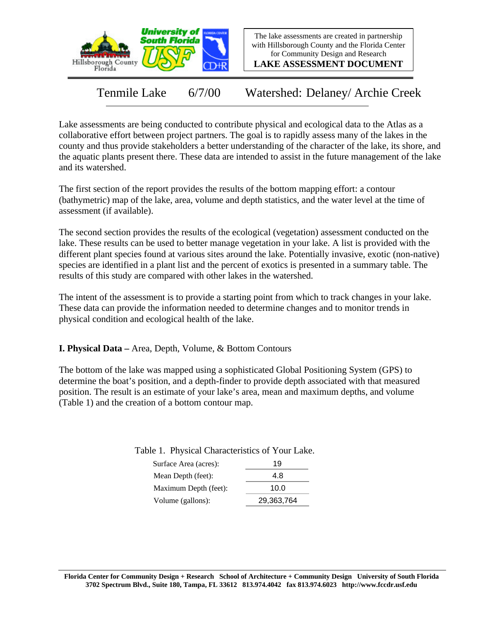

The lake assessments are created in partnership with Hillsborough County and the Florida Center for Community Design and Research

**LAKE ASSESSMENT DOCUMENT**

Tenmile Lake 6/7/00 Watershed: Delaney/ Archie Creek

Lake assessments are being conducted to contribute physical and ecological data to the Atlas as a collaborative effort between project partners. The goal is to rapidly assess many of the lakes in the county and thus provide stakeholders a better understanding of the character of the lake, its shore, and the aquatic plants present there. These data are intended to assist in the future management of the lake and its watershed.

The first section of the report provides the results of the bottom mapping effort: a contour (bathymetric) map of the lake, area, volume and depth statistics, and the water level at the time of assessment (if available).

The second section provides the results of the ecological (vegetation) assessment conducted on the lake. These results can be used to better manage vegetation in your lake. A list is provided with the different plant species found at various sites around the lake. Potentially invasive, exotic (non-native) species are identified in a plant list and the percent of exotics is presented in a summary table. The results of this study are compared with other lakes in the watershed.

The intent of the assessment is to provide a starting point from which to track changes in your lake. These data can provide the information needed to determine changes and to monitor trends in physical condition and ecological health of the lake.

**I. Physical Data –** Area, Depth, Volume, & Bottom Contours

The bottom of the lake was mapped using a sophisticated Global Positioning System (GPS) to determine the boat's position, and a depth-finder to provide depth associated with that measured position. The result is an estimate of your lake's area, mean and maximum depths, and volume (Table 1) and the creation of a bottom contour map.

Table 1. Physical Characteristics of Your Lake.

| 19         |
|------------|
| 4.8        |
| 10.0       |
| 29,363,764 |
|            |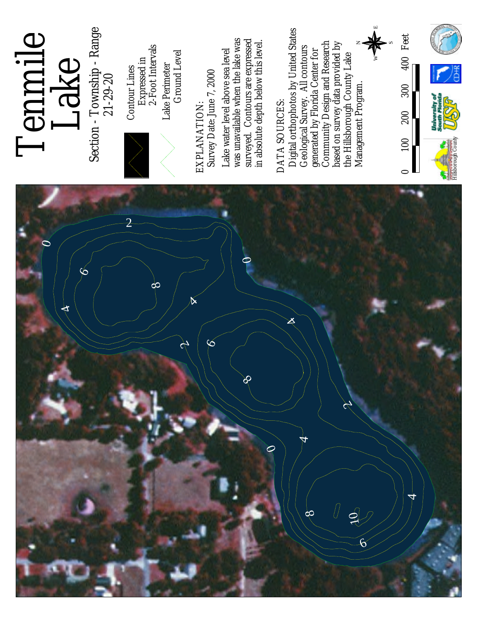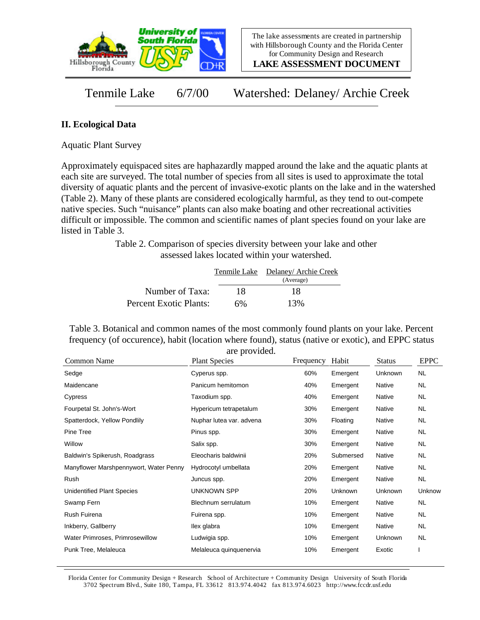

**LAKE ASSESSMENT DOCUMENT**

Tenmile Lake 6/7/00 Watershed: Delaney/ Archie Creek

## **II. Ecological Data**

Aquatic Plant Survey

Approximately equispaced sites are haphazardly mapped around the lake and the aquatic plants at each site are surveyed. The total number of species from all sites is used to approximate the total diversity of aquatic plants and the percent of invasive-exotic plants on the lake and in the watershed (Table 2). Many of these plants are considered ecologically harmful, as they tend to out-compete native species. Such "nuisance" plants can also make boating and other recreational activities difficult or impossible. The common and scientific names of plant species found on your lake are listed in Table 3.

> Table 2. Comparison of species diversity between your lake and other assessed lakes located within your watershed.

|                        |    | Tenmile Lake Delaney/ Archie Creek |
|------------------------|----|------------------------------------|
|                        |    | (Average)                          |
| Number of Taxa:        | 18 | 18                                 |
| Percent Exotic Plants: | 6% | 13%                                |

Table 3. Botanical and common names of the most commonly found plants on your lake. Percent frequency (of occurence), habit (location where found), status (native or exotic), and EPPC status are provided.

| Common Name                            | <b>Plant Species</b>     | Frequency | Habit          | <b>Status</b> | <b>EPPC</b> |
|----------------------------------------|--------------------------|-----------|----------------|---------------|-------------|
| Sedge                                  | Cyperus spp.             | 60%       | Emergent       | Unknown       | <b>NL</b>   |
| Maidencane                             | Panicum hemitomon        | 40%       | Emergent       | Native        | NL.         |
| Cypress                                | Taxodium spp.            | 40%       | Emergent       | Native        | NL.         |
| Fourpetal St. John's-Wort              | Hypericum tetrapetalum   | 30%       | Emergent       | Native        | NL.         |
| Spatterdock, Yellow Pondlily           | Nuphar lutea var. advena | 30%       | Floating       | Native        | NL.         |
| Pine Tree                              | Pinus spp.               | 30%       | Emergent       | Native        | <b>NL</b>   |
| Willow                                 | Salix spp.               | 30%       | Emergent       | Native        | <b>NL</b>   |
| Baldwin's Spikerush, Roadgrass         | Eleocharis baldwinii     | 20%       | Submersed      | Native        | NL.         |
| Manyflower Marshpennywort, Water Penny | Hydrocotyl umbellata     | 20%       | Emergent       | Native        | NL.         |
| Rush                                   | Juncus spp.              | 20%       | Emergent       | Native        | NL.         |
| Unidentified Plant Species             | UNKNOWN SPP              | 20%       | <b>Unknown</b> | Unknown       | Unknow      |
| Swamp Fern                             | Blechnum serrulatum      | 10%       | Emergent       | Native        | NL.         |
| Rush Fuirena                           | Fuirena spp.             | 10%       | Emergent       | Native        | <b>NL</b>   |
| Inkberry, Gallberry                    | llex glabra              | 10%       | Emergent       | Native        | NL.         |
| Water Primroses, Primrosewillow        | Ludwigia spp.            | 10%       | Emergent       | Unknown       | NL.         |
| Punk Tree, Melaleuca                   | Melaleuca quinquenervia  | 10%       | Emergent       | Exotic        |             |

Florida Center for Community Design + Research School of Architecture + Community Design University of South Florida 3702 Spectrum Blvd., Suite 180, Tampa, FL 33612 813.974.4042 fax 813.974.6023 http://www.fccdr.usf.edu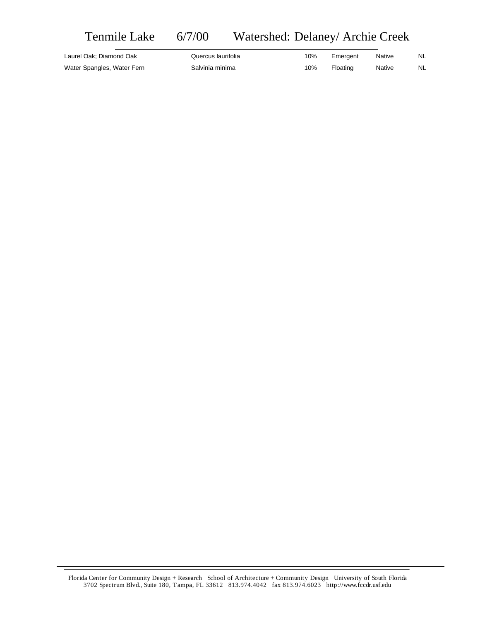## Tenmile Lake 6/7/00 Watershed: Delaney/ Archie Creek

| Laurel Oak; Diamond Oak    | Quercus laurifolia | 10% | Emergent | Native | NL |
|----------------------------|--------------------|-----|----------|--------|----|
| Water Spangles, Water Fern | Salvinia minima    | 10% | Floating | Native | NL |

Florida Center for Community Design + Research School of Architecture + Community Design University of South Florida 3702 Spectrum Blvd., Suite 180, Tampa, FL 33612 813.974.4042 fax 813.974.6023 http://www.fccdr.usf.edu